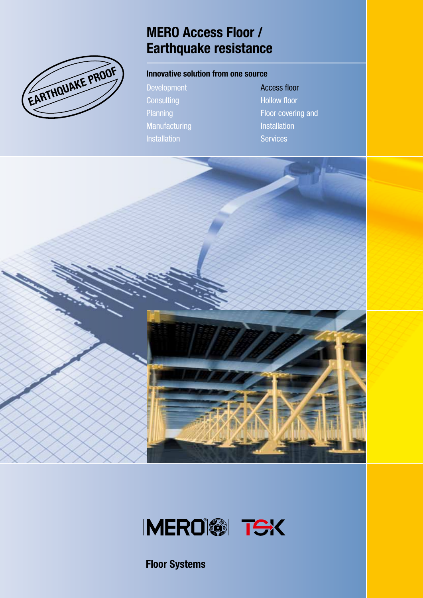

# **MERO Access Floor / Earthquake resistance**

### **Innovative solution from one source**

Development **Consulting Planning** Manufacturing 

Access floor Hollow floor Floor covering and **Installation** Services





**Floor Systems**